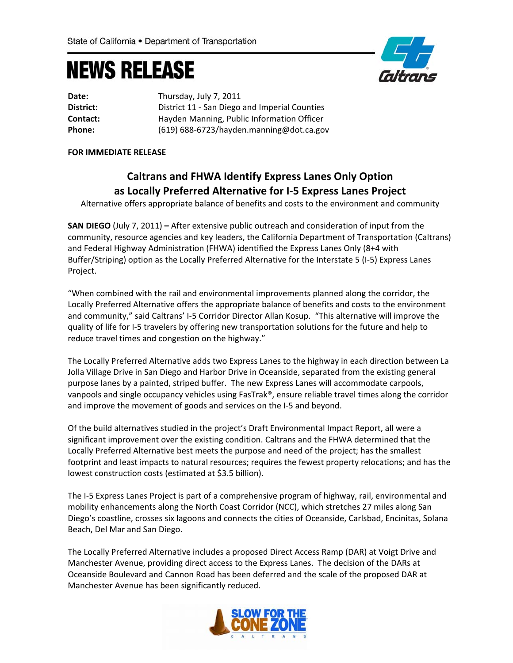## **NEWS RELEASE**



| Date:     | Thursday, July 7, 2011                        |
|-----------|-----------------------------------------------|
| District: | District 11 - San Diego and Imperial Counties |
| Contact:  | Hayden Manning, Public Information Officer    |
| Phone:    | $(619)$ 688-6723/hayden.manning@dot.ca.gov    |

## **FOR IMMEDIATE RELEASE**

## **Caltrans and FHWA Identify Express Lanes Only Option as Locally Preferred Alternative for I‐5 Express Lanes Project**

Alternative offers appropriate balance of benefits and costs to the environment and community

**SAN DIEGO** (July 7, 2011) **–** After extensive public outreach and consideration of input from the community, resource agencies and key leaders, the California Department of Transportation (Caltrans) and Federal Highway Administration (FHWA) identified the Express Lanes Only (8+4 with Buffer/Striping) option as the Locally Preferred Alternative for the Interstate 5 (I‐5) Express Lanes Project.

"When combined with the rail and environmental improvements planned along the corridor, the Locally Preferred Alternative offers the appropriate balance of benefits and costs to the environment and community," said Caltrans' I‐5 Corridor Director Allan Kosup. "This alternative will improve the quality of life for I‐5 travelers by offering new transportation solutions for the future and help to reduce travel times and congestion on the highway."

The Locally Preferred Alternative adds two Express Lanes to the highway in each direction between La Jolla Village Drive in San Diego and Harbor Drive in Oceanside, separated from the existing general purpose lanes by a painted, striped buffer. The new Express Lanes will accommodate carpools, vanpools and single occupancy vehicles using FasTrak®, ensure reliable travel times along the corridor and improve the movement of goods and services on the I‐5 and beyond.

Of the build alternatives studied in the project's Draft Environmental Impact Report, all were a significant improvement over the existing condition. Caltrans and the FHWA determined that the Locally Preferred Alternative best meets the purpose and need of the project; has the smallest footprint and least impacts to natural resources; requires the fewest property relocations; and has the lowest construction costs (estimated at \$3.5 billion).

The I‐5 Express Lanes Project is part of a comprehensive program of highway, rail, environmental and mobility enhancements along the North Coast Corridor (NCC), which stretches 27 miles along San Diego's coastline, crosses six lagoons and connects the cities of Oceanside, Carlsbad, Encinitas, Solana Beach, Del Mar and San Diego.

The Locally Preferred Alternative includes a proposed Direct Access Ramp (DAR) at Voigt Drive and Manchester Avenue, providing direct access to the Express Lanes. The decision of the DARs at Oceanside Boulevard and Cannon Road has been deferred and the scale of the proposed DAR at Manchester Avenue has been significantly reduced.